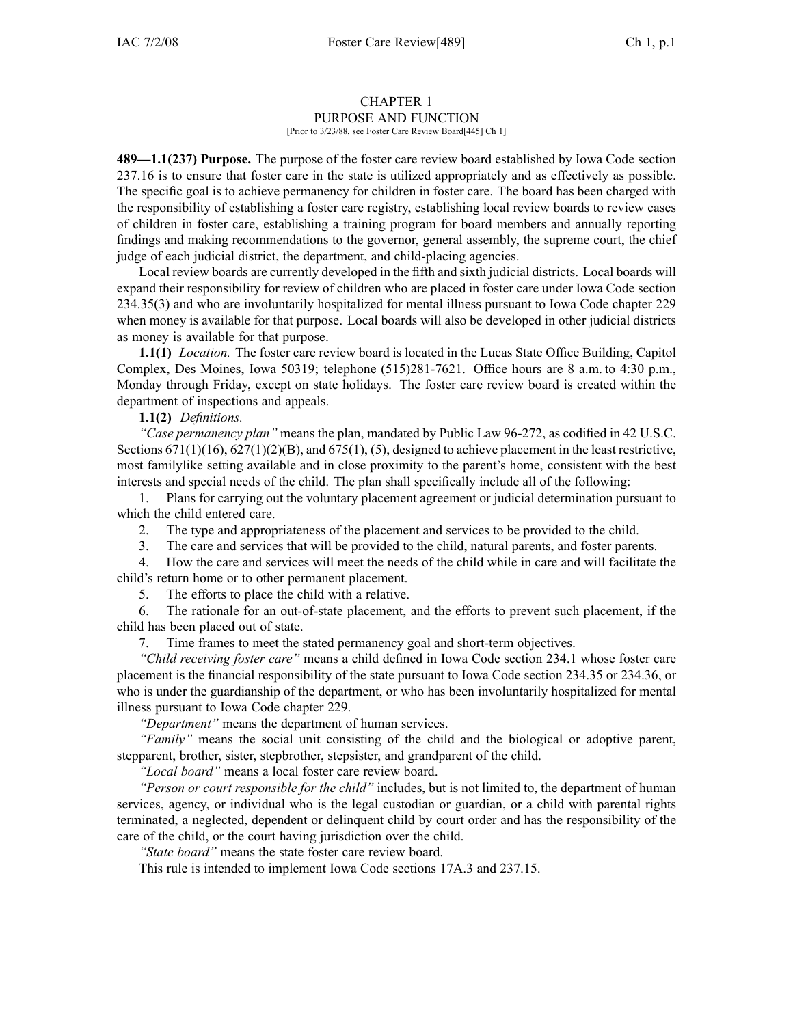## CHAPTER 1 PURPOSE AND FUNCTION [Prior to 3/23/88, see Foster Care Review Board[445] Ch 1]

**489—1.1(237) Purpose.** The purpose of the foster care review board established by Iowa Code section 237.16 is to ensure that foster care in the state is utilized appropriately and as effectively as possible. The specific goal is to achieve permanency for children in foster care. The board has been charged with the responsibility of establishing <sup>a</sup> foster care registry, establishing local review boards to review cases of children in foster care, establishing <sup>a</sup> training program for board members and annually reporting findings and making recommendations to the governor, general assembly, the supreme court, the chief judge of each judicial district, the department, and child-placing agencies.

Local review boards are currently developed in the fifth and sixth judicial districts. Local boards will expand their responsibility for review of children who are placed in foster care under Iowa Code section 234.35(3) and who are involuntarily hospitalized for mental illness pursuan<sup>t</sup> to Iowa Code chapter 229 when money is available for that purpose. Local boards will also be developed in other judicial districts as money is available for that purpose.

**1.1(1)** *Location.* The foster care review board is located in the Lucas State Office Building, Capitol Complex, Des Moines, Iowa 50319; telephone (515)281-7621. Office hours are 8 a.m. to 4:30 p.m., Monday through Friday, excep<sup>t</sup> on state holidays. The foster care review board is created within the department of inspections and appeals.

**1.1(2)** *Definitions.*

*"Case permanency plan"* means the plan, mandated by Public Law 96-272, as codified in 42 U.S.C. Sections 671(1)(16), 627(1)(2)(B), and 675(1), (5), designed to achieve placement in the least restrictive, most familylike setting available and in close proximity to the parent's home, consistent with the best interests and special needs of the child. The plan shall specifically include all of the following:

1. Plans for carrying out the voluntary placement agreemen<sup>t</sup> or judicial determination pursuan<sup>t</sup> to which the child entered care.

2. The type and appropriateness of the placement and services to be provided to the child.

3. The care and services that will be provided to the child, natural parents, and foster parents.

4. How the care and services will meet the needs of the child while in care and will facilitate the child's return home or to other permanen<sup>t</sup> placement.

5. The efforts to place the child with <sup>a</sup> relative.

6. The rationale for an out-of-state placement, and the efforts to preven<sup>t</sup> such placement, if the child has been placed out of state.

7. Time frames to meet the stated permanency goal and short-term objectives.

*"Child receiving foster care"* means <sup>a</sup> child defined in Iowa Code section 234.1 whose foster care placement is the financial responsibility of the state pursuan<sup>t</sup> to Iowa Code section 234.35 or 234.36, or who is under the guardianship of the department, or who has been involuntarily hospitalized for mental illness pursuan<sup>t</sup> to Iowa Code chapter 229.

*"Department"* means the department of human services.

*"Family"* means the social unit consisting of the child and the biological or adoptive parent, stepparent, brother, sister, stepbrother, stepsister, and grandparent of the child.

*"Local board"* means <sup>a</sup> local foster care review board.

*"Person or court responsible for the child"* includes, but is not limited to, the department of human services, agency, or individual who is the legal custodian or guardian, or <sup>a</sup> child with parental rights terminated, <sup>a</sup> neglected, dependent or delinquent child by court order and has the responsibility of the care of the child, or the court having jurisdiction over the child.

*"State board"* means the state foster care review board.

This rule is intended to implement Iowa Code sections 17A.3 and 237.15.